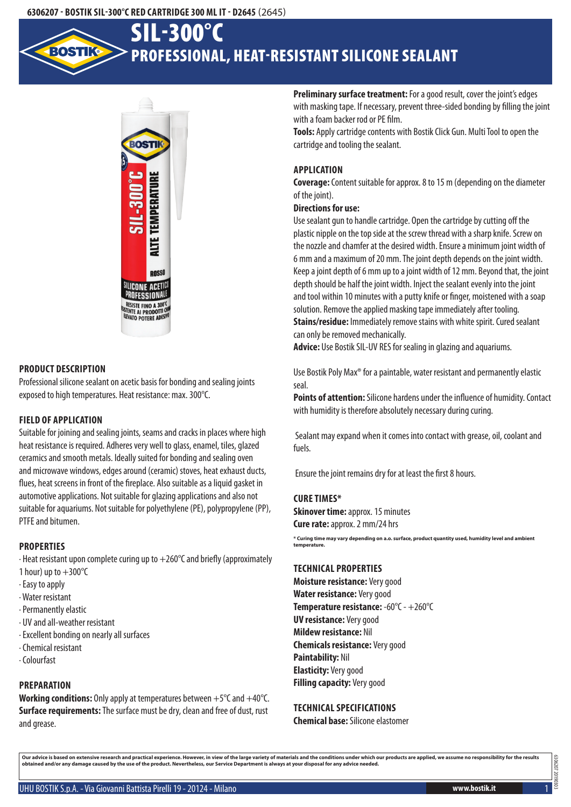### **6306207 - Bostik SIL-300°C Red Cartridge 300 mlIT - D2645** (2645)

# Professional, heat-resistant silicone sealant SIL-300°C



## **Product description**

Professional silicone sealant on acetic basis for bonding and sealing joints exposed to high temperatures. Heat resistance: max. 300°C.

# **Field of application**

Suitable for joining and sealing joints, seams and cracks in places where high heat resistance is required. Adheres very well to glass, enamel, tiles, glazed ceramics and smooth metals. Ideally suited for bonding and sealing oven and microwave windows, edges around (ceramic) stoves, heat exhaust ducts, flues, heat screens in front of the fireplace. Also suitable as a liquid gasket in automotive applications. Not suitable for glazing applications and also not suitable for aquariums. Not suitable for polyethylene (PE), polypropylene (PP), PTFE and bitumen.

# **Properties**

 $\cdot$  Heat resistant upon complete curing up to  $+260^{\circ}$ C and briefly (approximately

- 1 hour) up to  $+300^{\circ}$ C
- · Easy to apply
- · Water resistant
- · Permanently elastic
- · UV and all-weather resistant
- · Excellent bonding on nearly all surfaces
- · Chemical resistant
- · Colourfast

# **Preparation**

**Working conditions:** Only apply at temperatures between +5°C and +40°C. **Surface requirements:** The surface must be dry, clean and free of dust, rust and grease.

**Preliminary surface treatment:** For a good result, cover the joint's edges with masking tape. If necessary, prevent three-sided bonding by filling the joint with a foam backer rod or PE film.

**Tools:** Apply cartridge contents with Bostik Click Gun. Multi Tool to open the cartridge and tooling the sealant.

# **Application**

**Coverage:** Content suitable for approx. 8 to 15 m (depending on the diameter of the joint).

## **Directions for use:**

Use sealant gun to handle cartridge. Open the cartridge by cutting off the plastic nipple on the top side at the screw thread with a sharp knife. Screw on the nozzle and chamfer at the desired width. Ensure a minimum joint width of 6 mm and a maximum of 20 mm. The joint depth depends on the joint width. Keep a joint depth of 6 mm up to a joint width of 12 mm. Beyond that, the joint depth should be half the joint width. Inject the sealant evenly into the joint and tool within 10 minutes with a putty knife or finger, moistened with a soap solution. Remove the applied masking tape immediately after tooling. **Stains/residue:** Immediately remove stains with white spirit. Cured sealant can only be removed mechanically.

**Advice:** Use Bostik SIL-UV RES for sealing in glazing and aquariums.

Use Bostik Poly Max® for a paintable, water resistant and permanently elastic seal.

**Points of attention:** Silicone hardens under the influence of humidity. Contact with humidity is therefore absolutely necessary during curing.

 Sealant may expand when it comes into contact with grease, oil, coolant and fuels.

Ensure the joint remains dry for at least the first 8 hours.

#### **Cure times\***

**Skinover time: approx. 15 minutes Cure rate:** approx. 2 mm/24 hrs

**\* Curing time may vary depending on a.o. surface, product quantity used, humidity level and ambient temperature.**

## **Technical properties**

**Moisture resistance:** Very good **Water resistance:** Very good **Temperature resistance:** -60°C - +260°C **UV resistance:** Very good **Mildew resistance:** Nil **Chemicals resistance:** Very good **Paintability:** Nil **Elasticity:** Very good **Filling capacity:** Very good

# **Technical specifications**

**Chemical base:** Silicone elastomer

Our advice is based on extensive research and practical experience. However, in view of the large variety of materials and the conditions under which our products are applied, we assume no responsibility for the results<br>ob

UHU BOSTIK S.p.A. - Via Giovanni Battista Pirelli 19 - 20124 - Milano **www.bostik.it** 1

6306207 20190303

306.20